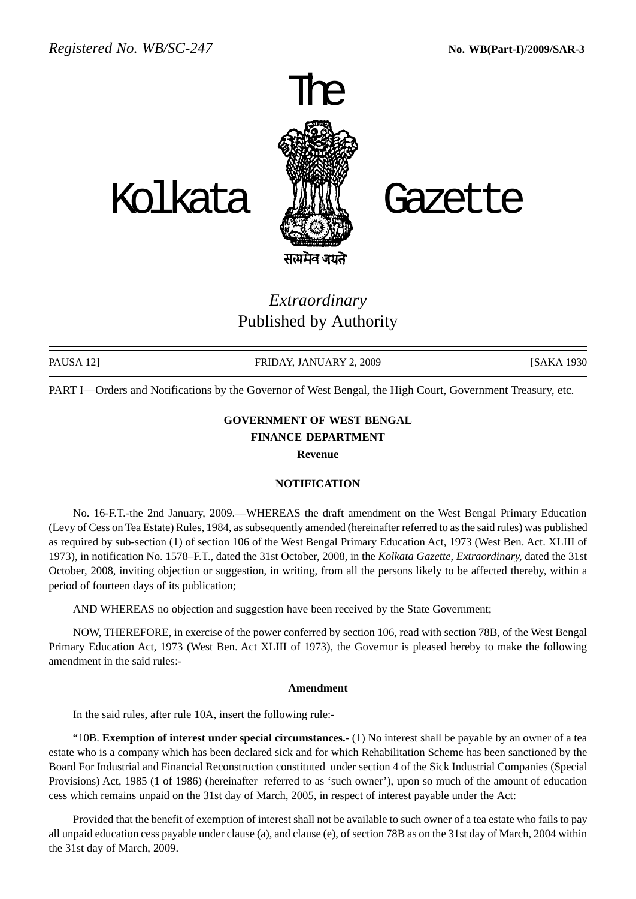

## *Extraordinary* Published by Authority

PAUSA 12] **FRIDAY, JANUARY 2, 2009** [SAKA 1930]

PART I—Orders and Notifications by the Governor of West Bengal, the High Court, Government Treasury, etc.

## **GOVERNMENT OF WEST BENGAL FINANCE DEPARTMENT**

**Revenue**

## **NOTIFICATION**

No. 16-F.T.-the 2nd January, 2009.—WHEREAS the draft amendment on the West Bengal Primary Education (Levy of Cess on Tea Estate) Rules, 1984, as subsequently amended (hereinafter referred to as the said rules) was published as required by sub-section (1) of section 106 of the West Bengal Primary Education Act, 1973 (West Ben. Act. XLIII of 1973), in notification No. 1578–F.T., dated the 31st October, 2008, in the *Kolkata Gazette, Extraordinary,* dated the 31st October, 2008, inviting objection or suggestion, in writing, from all the persons likely to be affected thereby, within a period of fourteen days of its publication;

AND WHEREAS no objection and suggestion have been received by the State Government;

NOW, THEREFORE, in exercise of the power conferred by section 106, read with section 78B, of the West Bengal Primary Education Act, 1973 (West Ben. Act XLIII of 1973), the Governor is pleased hereby to make the following amendment in the said rules:-

## **Amendment**

In the said rules, after rule 10A, insert the following rule:-

"10B. **Exemption of interest under special circumstances.**- (1) No interest shall be payable by an owner of a tea estate who is a company which has been declared sick and for which Rehabilitation Scheme has been sanctioned by the Board For Industrial and Financial Reconstruction constituted under section 4 of the Sick Industrial Companies (Special Provisions) Act, 1985 (1 of 1986) (hereinafter referred to as 'such owner'), upon so much of the amount of education cess which remains unpaid on the 31st day of March, 2005, in respect of interest payable under the Act:

Provided that the benefit of exemption of interest shall not be available to such owner of a tea estate who fails to pay all unpaid education cess payable under clause (a), and clause (e), of section 78B as on the 31st day of March, 2004 within the 31st day of March, 2009.